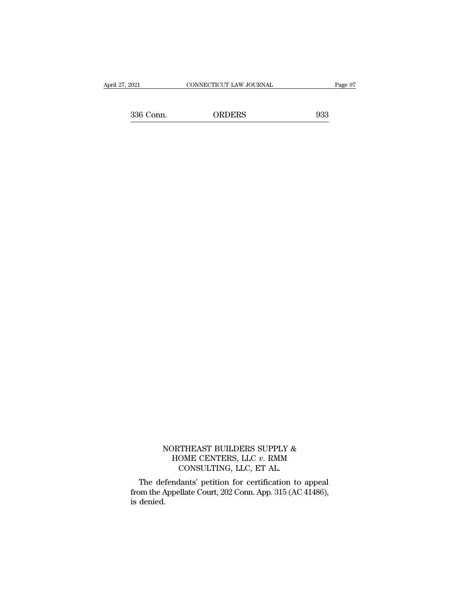order Connecticut Law Journal Page 97<br>336 Conn. ORDERS 933

#### NORTHEAST BUILDERS SUPPLY  $\&$  HOME CENTERS, LLC  $v$ . RMM DRTHEAST BUILDERS SUPPLY & HOME CENTERS, LLC *v*. RMM CONSULTING, LLC, ET AL. THEAST BUILDERS SUPPLY &<br>OME CENTERS, LLC  $v$ . RMM<br>CONSULTING, LLC, ET AL.<br>lants' petition for certification to

NORTHEAST BUILDERS SUPPLY &<br>
HOME CENTERS, LLC  $v$ . RMM<br>
CONSULTING, LLC, ET AL.<br>
The defendants' petition for certification to appeal<br>
pm the Appellate Court, 202 Conn. App. 315 (AC 41486),<br>
dopied MORTHEAST BUILDERS SUPPLY &<br>
HOME CENTERS, LLC  $v$ . RMM<br>
CONSULTING, LLC, ET AL.<br>
The defendants' petition for certification to appeal<br>
from the Appellate Court, 202 Conn. App. 315 (AC 41486),<br>
is denied.  $\Gamma$ <br>The deform the  $\Lambda$ <br>is denied.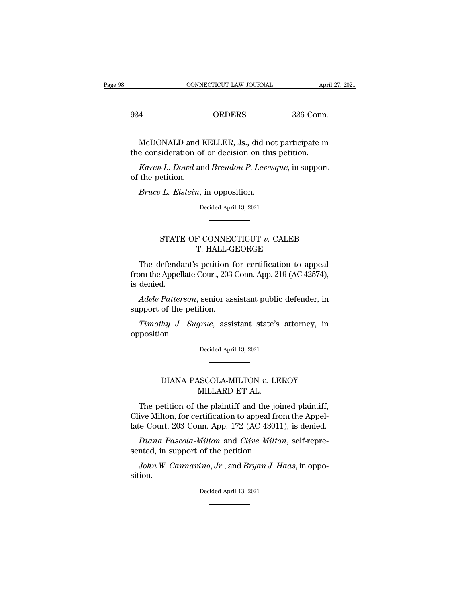| CONNECTICUT LAW JOURNAL           |  |             |
|-----------------------------------|--|-------------|
|                                   |  | April 27, 2 |
| 336 Conn.<br>934<br><b>ORDERS</b> |  |             |

CONNECTICUT LAW JOURNAL April 27, 2021<br>4 ORDERS 336 Conn.<br>McDONALD and KELLER, Js., did not participate in<br>e consideration of or decision on this petition. 934 ORDERS 336 Conn.<br>McDONALD and KELLER, Js., did not participate in<br>the consideration of or decision on this petition.<br>*Karen L. Dowd* and *Brendon P. Levesque*, in support *Karen L. Dowd* and *Brendon P. Levesque*, in support the petition.<br>*Karen L. Dowd* and *Brendon P. Levesque*, in support the petition. McDONALD and l<br>the consideration of<br>*Karen L. Dowd* ar<br>of the petition.<br>*Bruce L. Elstein*, *McDONALD* and *KELLER*, Js., did no<br>*E* consideration of or decision on this<br>*Karen L. Dowd* and *Brendon P. Leves*<br>the petition.<br>*Bruce L. Elstein*, in opposition.<br>Decided April 13, 2021

Karen L. Dowd and Brendon P. Levesque, in support<br>
The petition.<br>
Bruce L. Elstein, in opposition.<br>
Decided April 13, 2021

# etition.<br>
L. Elstein, in opposition.<br>
Decided April 13, 2021<br>
STATE OF CONNECTICUT *v*. CALEB<br>
T. HALL-GEORGE metrical april 13, 2021<br>Decided April 13, 2021<br>F. CONNECTICUT v. CALEB<br>T. HALL-GEORGE<br>spetition for certification to ap

The defendant's petition for certification to appeal  $\begin{minipage}[c]{0.7\linewidth} \begin{tabular}{ll} \multicolumn{2}{l}{{\bf STATE OF CONNECTICUT $v$. CALEB} \label{fig:ex1} \end{tabular} \end{minipage}$  <br> The defendant's petition for certification to appeal from the Appellate Court, 203 Conn. App. 219 (AC 42574), is denied. STATE<br>The defenda<br>from the Appell<br>is denied.<br>*Adele Patter*. STATE OF CONNECTICUT *v*. CALEB<br>
T. HALL-GEORGE<br>
The defendant's petition for certification to appeal<br>
om the Appellate Court, 203 Conn. App. 219 (AC 42574),<br>
denied.<br>
Adele Patterson, senior assistant public defender, in<br> T. HALL-G<br>The defendant's petition 1<br>from the Appellate Court, 203<br>is denied.<br>*Adele Patterson*, senior assupport of the petition.<br>*Timothy J. Sugrue*, assis The defendant's petition for certification to appeal<br>bm the Appellate Court, 203 Conn. App. 219 (AC 42574),<br>denied.<br>*Adele Patterson*, senior assistant public defender, in<br>pport of the petition.<br>*Timothy J. Sugrue*, assist

opposition. % support of the petition.<br>
Timothy J. Sugrue, assistant state's attorney, in opposition.<br>
Decided April 13, 2021 *hy J. Sugrue*, assistant state's attorney, in Decided April 13, 2021<br>DIANA PASCOLA-MILTON *v.* LEROY MILLARD ET AL.

# MILLARD ET AL.

Decided April 13, 2021<br>
The petition of the plaintiff and the joined plaintiff,<br>
ive Milton, for certification to appeal from the Appel-<br>
The petition, for certification to appeal from the Appel-<br>
The Court 203 Conn. App. DIANA PASCOLA-MILTON v. LEROY<br>MILLARD ET AL.<br>The petition of the plaintiff and the joined plaintiff,<br>Clive Milton, for certification to appeal from the Appel-<br>late Court, 203 Conn. App. 172 (AC 43011), is denied. DIANA PASCOLA-MILTON v. LEROY<br>MILLARD ET AL.<br>The petition of the plaintiff and the joined plaintiff,<br>Clive Milton, for certification to appeal from the Appel-<br>late Court, 203 Conn. App. 172 (AC 43011), is denied.<br>Diana Pas *DIANA PASCOLA-MILTON v. LEROY*<br>*MILLARD ET AL.*<br>The petition of the plaintiff and the joined plaintiff,<br>ive Milton, for certification to appeal from the Appel-<br>repre-repre-repre-repre-repre- in support of the petition.<br>*D* MILLARD ET AL.<br>The petition of the plaintiff and the<br>Clive Milton, for certification to appeal<br>late Court, 203 Conn. App. 172 (AC 430<br>Diana Pascola-Milton and Clive Mi<br>sented, in support of the petition.<br>John W. Cannavino, The petition of the plaintiff and the joined plaintiff, ive Milton, for certification to appeal from the Appel-<br>*Le* Court, 203 Conn. App. 172 (AC 43011), is denied.<br>*Diana Pascola-Milton* and *Clive Milton*, self-repre-<br>

sition. sented, in support of the petition.<br>
John W. Cannavino, Jr., and Bryan J. Haas, in opposition.<br>
Decided April 13, 2021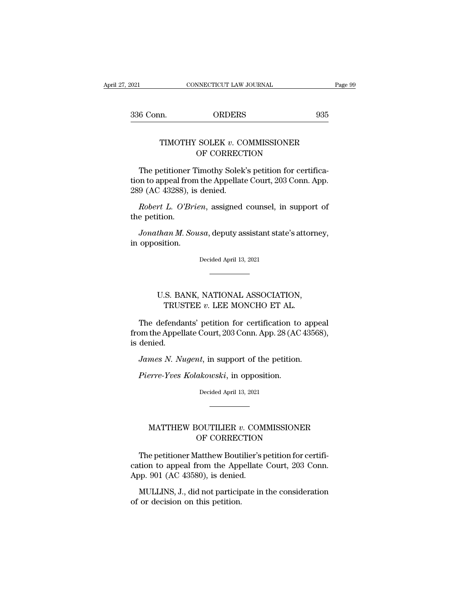# EXECUTE CONNECTICUT LAW JOURNAL Page<br>
1 DRDERS 935<br>
TIMOTHY SOLEK *v*. COMMISSIONER<br>
OF CORRECTION ORDERS<br>
SOLEK v. COMMISSIONER<br>
OF CORRECTION<br>
Timothy Solek's petition for certification

6 Conn. ORDERS 935<br>
TIMOTHY SOLEK  $v$ . COMMISSIONER<br>
OF CORRECTION<br>
The petitioner Timothy Solek's petition for certifica-<br>
on to appeal from the Appellate Court, 203 Conn. App.<br>
0. (AC 43288), is donied TIMOTHY SOLEK v. COMMISSIONER<br>
OF CORRECTION<br>
The petitioner Timothy Solek's petition for certifica-<br>
tion to appeal from the Appellate Court, 203 Conn. App.<br>
289 (AC 43288), is denied. TIMOTHY SOLEK v. CO<br>OF CORRECT<br>The petitioner Timothy Solek<br>tion to appeal from the Appellate<br>289 (AC 43288), is denied.<br>Robert L. O'Brien, assigned *Robert L. O'Brien*, assigned counsel, in support of epetition.<br>*Robert L. O'Brien*, assigned counsel, in support of epetition. The petitioner<br>tion to appeal from<br>289 (AC 43288), i<br>*Robert L. O'Br*<br>the petition.<br>Jonathan M. So The petitioner Timothy Solek's petition for certification to appeal from the Appellate Court, 203 Conn. App.<br>9 (AC 43288), is denied.<br>*Robert L. O'Brien*, assigned counsel, in support of<br>e petition.<br>*Jonathan M. Sousa*, de

Figure 10 appear front<br>1889 (AC 43288), is<br>Robert L. O'Brie<br>the petition.<br>Jonathan M. Sou<br>in opposition. Jonathan M. Sousa, deputy assistant state's attorney,<br>opposition.<br>Decided April 13, 2021

*than M. Sousa*, deputy assistant state s attornesition.<br>
Decided April 13, 2021<br>
Decided April 13, 2021<br>
D.S. BANK, NATIONAL ASSOCIATION,<br>
TRUSTEE  $v$ . LEE MONCHO ET AL. TRUSTEE *<sup>v</sup>*. LEE MONCHO ET AL.

Decided April 13, 2021<br>
The defendants' petition for certification to appeal<br>
The defendants' petition for certification to appeal<br>
Dom the Appellate Court, 203 Conn. App. 28 (AC 43568),<br>
dopied U.S. BANK, NATIONAL ASSOCIATION,<br>TRUSTEE v. LEE MONCHO ET AL.<br>The defendants' petition for certification to appeal<br>from the Appellate Court, 203 Conn. App. 28 (AC 43568),<br>is denied. U.S. BA<br>TRUS<br>The defenda<br>from the Appel<br>is denied.<br>James N. Ni *James N. Nugent*, in support of the petition.<br>*James N. Nugent*, in support of the petition to appear of the Appellate Court, 203 Conn. App. 28 (AC 43568<br>*James N. Nugent*, in support of the petition.<br>*Pierre-Yves Kolakow* The defendants' petition for certification to<br> *Pierre-Yves Kolakowski*, in opposition.<br> *Pierre-Yves Kolakowski*, in opposition.<br> *Pierre-Yves Kolakowski*, in opposition.<br>
Decided April 13, 2021

James N. Nugent, in support of the petition.<br>Pierre-Yves Kolakowski, in opposition.<br>Decided April 13, 2021

# Perre-Yves Kolakowski, in opposition.<br>Decided April 13, 2021<br>**MATTHEW BOUTILIER v. COMMISSIONER**<br>OF CORRECTION  $\begin{CD} a \textit{kov} \textit{S} \textit{Kt}, \text{ in } \text{opposition}. \ \end{CD}$ <br>Decided April 13, 2021<br> $\begin{CD} \text{SOUTILIER } v. \text{ COMMISSIONER} \ \text{OF CORRECTION} \ \text{Lattice's}\ \text{Dett} \text{Cov} \end{CD}$

MATTHEW BOUTILIER v. COMMISSIONER<br>
OF CORRECTION<br>
The petitioner Matthew Boutilier's petition for certifi-<br>
tion to appeal from the Appellate Court, 203 Conn.<br>
No. 001 (AC 42580) is donied  $\begin{minipage}[c]{0.9\linewidth} \begin{tabular}{l} \multicolumn{2}{l}{{\bf MATTHEW BOUTILIER $v$. COMMISSIONER}}\\ \multicolumn{2}{l}{\bf CP CORRECTION} \end{tabular} \end{minipage} \begin{minipage}[c]{0.9\linewidth} \begin{tabular}{l} {\bf The {\it petitioner} } {\bf Mathew Boutilier's {\it petition for certification to appeal from the Appellate Court, 203 Conn.}} \\ \text{App. 901 (AC 43580), is denied.} \end{tabular} \end{minipage}$ MATTHEW BOUTILIER  $v$ . COM<br>OF CORRECTION<br>The petitioner Matthew Boutilier's praction to appeal from the Appellate<br>App. 901 (AC 43580), is denied.<br>MULLINS, J., did not participate in MITTILIN BOCTILILINE COMMISSIONING<br>OF CORRECTION<br>The petitioner Matthew Boutilier's petition for certifi-<br>tion to appeal from the Appellate Court, 203 Conn.<br>pp. 901 (AC 43580), is denied.<br>MULLINS, J., did not participate i The petitioner Matthew Bout<br>cation to appeal from the App<br>App. 901 (AC 43580), is denied<br>MULLINS, J., did not particip<br>of or decision on this petition.